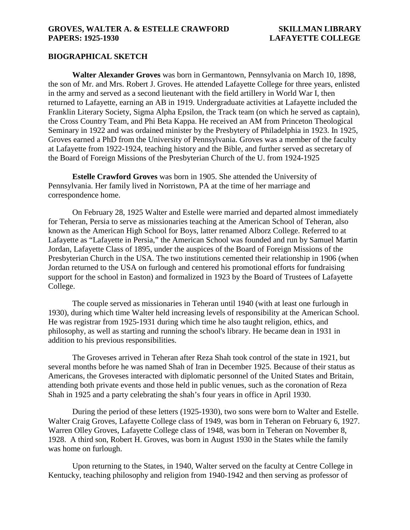# **BIOGRAPHICAL SKETCH**

**Walter Alexander Groves** was born in Germantown, Pennsylvania on March 10, 1898, the son of Mr. and Mrs. Robert J. Groves. He attended Lafayette College for three years, enlisted in the army and served as a second lieutenant with the field artillery in World War I, then returned to Lafayette, earning an AB in 1919. Undergraduate activities at Lafayette included the Franklin Literary Society, Sigma Alpha Epsilon, the Track team (on which he served as captain), the Cross Country Team, and Phi Beta Kappa. He received an AM from Princeton Theological Seminary in 1922 and was ordained minister by the Presbytery of Philadelphia in 1923. In 1925, Groves earned a PhD from the University of Pennsylvania. Groves was a member of the faculty at Lafayette from 1922-1924, teaching history and the Bible, and further served as secretary of the Board of Foreign Missions of the Presbyterian Church of the U. from 1924-1925

**Estelle Crawford Groves** was born in 1905. She attended the University of Pennsylvania. Her family lived in Norristown, PA at the time of her marriage and correspondence home.

On February 28, 1925 Walter and Estelle were married and departed almost immediately for Teheran, Persia to serve as missionaries teaching at the American School of Teheran, also known as the American High School for Boys, latter renamed Alborz College. Referred to at Lafayette as "Lafayette in Persia," the American School was founded and run by Samuel Martin Jordan, Lafayette Class of 1895, under the auspices of the Board of Foreign Missions of the Presbyterian Church in the USA. The two institutions cemented their relationship in 1906 (when Jordan returned to the USA on furlough and centered his promotional efforts for fundraising support for the school in Easton) and formalized in 1923 by the Board of Trustees of Lafayette College.

The couple served as missionaries in Teheran until 1940 (with at least one furlough in 1930), during which time Walter held increasing levels of responsibility at the American School. He was registrar from 1925-1931 during which time he also taught religion, ethics, and philosophy, as well as starting and running the school's library. He became dean in 1931 in addition to his previous responsibilities.

The Groveses arrived in Teheran after Reza Shah took control of the state in 1921, but several months before he was named Shah of Iran in December 1925. Because of their status as Americans, the Groveses interacted with diplomatic personnel of the United States and Britain, attending both private events and those held in public venues, such as the coronation of Reza Shah in 1925 and a party celebrating the shah's four years in office in April 1930.

During the period of these letters (1925-1930), two sons were born to Walter and Estelle. Walter Craig Groves, Lafayette College class of 1949, was born in Teheran on February 6, 1927. Warren Olley Groves, Lafayette College class of 1948, was born in Teheran on November 8, 1928. A third son, Robert H. Groves, was born in August 1930 in the States while the family was home on furlough.

Upon returning to the States, in 1940, Walter served on the faculty at Centre College in Kentucky, teaching philosophy and religion from 1940-1942 and then serving as professor of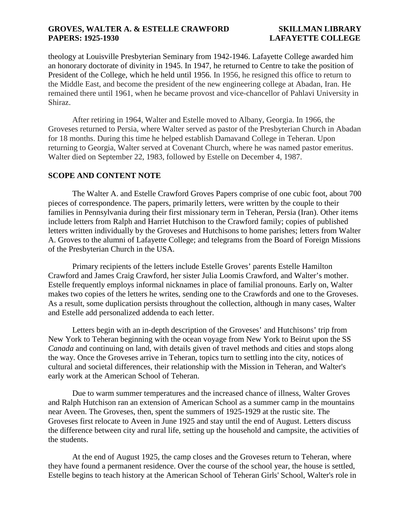theology at Louisville Presbyterian Seminary from 1942-1946. Lafayette College awarded him an honorary doctorate of divinity in 1945. In 1947, he returned to Centre to take the position of President of the College, which he held until 1956. In 1956, he resigned this office to return to the Middle East, and become the president of the new engineering college at Abadan, Iran. He remained there until 1961, when he became provost and vice-chancellor of Pahlavi University in Shiraz.

After retiring in 1964, Walter and Estelle moved to Albany, Georgia. In 1966, the Groveses returned to Persia, where Walter served as pastor of the Presbyterian Church in Abadan for 18 months. During this time he helped establish Damavand College in Teheran. Upon returning to Georgia, Walter served at Covenant Church, where he was named pastor emeritus. Walter died on September 22, 1983, followed by Estelle on December 4, 1987.

# **SCOPE AND CONTENT NOTE**

The Walter A. and Estelle Crawford Groves Papers comprise of one cubic foot, about 700 pieces of correspondence. The papers, primarily letters, were written by the couple to their families in Pennsylvania during their first missionary term in Teheran, Persia (Iran). Other items include letters from Ralph and Harriet Hutchison to the Crawford family; copies of published letters written individually by the Groveses and Hutchisons to home parishes; letters from Walter A. Groves to the alumni of Lafayette College; and telegrams from the Board of Foreign Missions of the Presbyterian Church in the USA.

Primary recipients of the letters include Estelle Groves' parents Estelle Hamilton Crawford and James Craig Crawford, her sister Julia Loomis Crawford, and Walter's mother. Estelle frequently employs informal nicknames in place of familial pronouns. Early on, Walter makes two copies of the letters he writes, sending one to the Crawfords and one to the Groveses. As a result, some duplication persists throughout the collection, although in many cases, Walter and Estelle add personalized addenda to each letter.

Letters begin with an in-depth description of the Groveses' and Hutchisons' trip from New York to Teheran beginning with the ocean voyage from New York to Beirut upon the SS *Canada* and continuing on land, with details given of travel methods and cities and stops along the way. Once the Groveses arrive in Teheran, topics turn to settling into the city, notices of cultural and societal differences, their relationship with the Mission in Teheran, and Walter's early work at the American School of Teheran.

Due to warm summer temperatures and the increased chance of illness, Walter Groves and Ralph Hutchison ran an extension of American School as a summer camp in the mountains near Aveen. The Groveses, then, spent the summers of 1925-1929 at the rustic site. The Groveses first relocate to Aveen in June 1925 and stay until the end of August. Letters discuss the difference between city and rural life, setting up the household and campsite, the activities of the students.

At the end of August 1925, the camp closes and the Groveses return to Teheran, where they have found a permanent residence. Over the course of the school year, the house is settled, Estelle begins to teach history at the American School of Teheran Girls' School, Walter's role in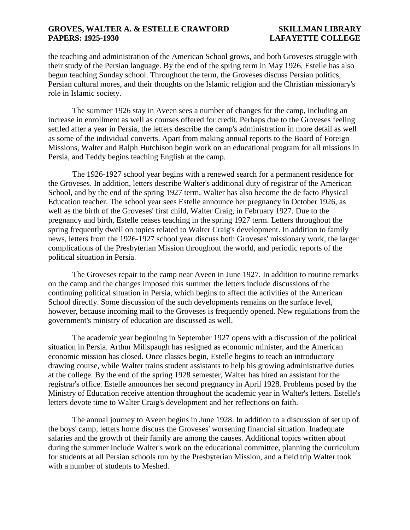the teaching and administration of the American School grows, and both Groveses struggle with their study of the Persian language. By the end of the spring term in May 1926, Estelle has also begun teaching Sunday school. Throughout the term, the Groveses discuss Persian politics, Persian cultural mores, and their thoughts on the Islamic religion and the Christian missionary's role in Islamic society.

The summer 1926 stay in Aveen sees a number of changes for the camp, including an increase in enrollment as well as courses offered for credit. Perhaps due to the Groveses feeling settled after a year in Persia, the letters describe the camp's administration in more detail as well as some of the individual converts. Apart from making annual reports to the Board of Foreign Missions, Walter and Ralph Hutchison begin work on an educational program for all missions in Persia, and Teddy begins teaching English at the camp.

The 1926-1927 school year begins with a renewed search for a permanent residence for the Groveses. In addition, letters describe Walter's additional duty of registrar of the American School, and by the end of the spring 1927 term, Walter has also become the de facto Physical Education teacher. The school year sees Estelle announce her pregnancy in October 1926, as well as the birth of the Groveses' first child, Walter Craig, in February 1927. Due to the pregnancy and birth, Estelle ceases teaching in the spring 1927 term. Letters throughout the spring frequently dwell on topics related to Walter Craig's development. In addition to family news, letters from the 1926-1927 school year discuss both Groveses' missionary work, the larger complications of the Presbyterian Mission throughout the world, and periodic reports of the political situation in Persia.

The Groveses repair to the camp near Aveen in June 1927. In addition to routine remarks on the camp and the changes imposed this summer the letters include discussions of the continuing political situation in Persia, which begins to affect the activities of the American School directly. Some discussion of the such developments remains on the surface level, however, because incoming mail to the Groveses is frequently opened. New regulations from the government's ministry of education are discussed as well.

The academic year beginning in September 1927 opens with a discussion of the political situation in Persia. Arthur Millspaugh has resigned as economic minister, and the American economic mission has closed. Once classes begin, Estelle begins to teach an introductory drawing course, while Walter trains student assistants to help his growing administrative duties at the college. By the end of the spring 1928 semester, Walter has hired an assistant for the registrar's office. Estelle announces her second pregnancy in April 1928. Problems posed by the Ministry of Education receive attention throughout the academic year in Walter's letters. Estelle's letters devote time to Walter Craig's development and her reflections on faith.

The annual journey to Aveen begins in June 1928. In addition to a discussion of set up of the boys' camp, letters home discuss the Groveses' worsening financial situation. Inadequate salaries and the growth of their family are among the causes. Additional topics written about during the summer include Walter's work on the educational committee, planning the curriculum for students at all Persian schools run by the Presbyterian Mission, and a field trip Walter took with a number of students to Meshed.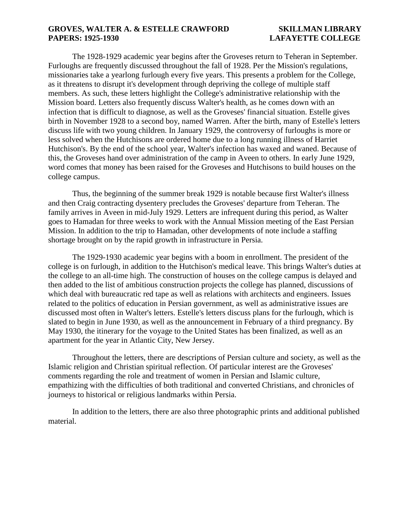The 1928-1929 academic year begins after the Groveses return to Teheran in September. Furloughs are frequently discussed throughout the fall of 1928. Per the Mission's regulations, missionaries take a yearlong furlough every five years. This presents a problem for the College, as it threatens to disrupt it's development through depriving the college of multiple staff members. As such, these letters highlight the College's administrative relationship with the Mission board. Letters also frequently discuss Walter's health, as he comes down with an infection that is difficult to diagnose, as well as the Groveses' financial situation. Estelle gives birth in November 1928 to a second boy, named Warren. After the birth, many of Estelle's letters discuss life with two young children. In January 1929, the controversy of furloughs is more or less solved when the Hutchisons are ordered home due to a long running illness of Harriet Hutchison's. By the end of the school year, Walter's infection has waxed and waned. Because of this, the Groveses hand over administration of the camp in Aveen to others. In early June 1929, word comes that money has been raised for the Groveses and Hutchisons to build houses on the college campus.

Thus, the beginning of the summer break 1929 is notable because first Walter's illness and then Craig contracting dysentery precludes the Groveses' departure from Teheran. The family arrives in Aveen in mid-July 1929. Letters are infrequent during this period, as Walter goes to Hamadan for three weeks to work with the Annual Mission meeting of the East Persian Mission. In addition to the trip to Hamadan, other developments of note include a staffing shortage brought on by the rapid growth in infrastructure in Persia.

The 1929-1930 academic year begins with a boom in enrollment. The president of the college is on furlough, in addition to the Hutchison's medical leave. This brings Walter's duties at the college to an all-time high. The construction of houses on the college campus is delayed and then added to the list of ambitious construction projects the college has planned, discussions of which deal with bureaucratic red tape as well as relations with architects and engineers. Issues related to the politics of education in Persian government, as well as administrative issues are discussed most often in Walter's letters. Estelle's letters discuss plans for the furlough, which is slated to begin in June 1930, as well as the announcement in February of a third pregnancy. By May 1930, the itinerary for the voyage to the United States has been finalized, as well as an apartment for the year in Atlantic City, New Jersey.

Throughout the letters, there are descriptions of Persian culture and society, as well as the Islamic religion and Christian spiritual reflection. Of particular interest are the Groveses' comments regarding the role and treatment of women in Persian and Islamic culture, empathizing with the difficulties of both traditional and converted Christians, and chronicles of journeys to historical or religious landmarks within Persia.

In addition to the letters, there are also three photographic prints and additional published material.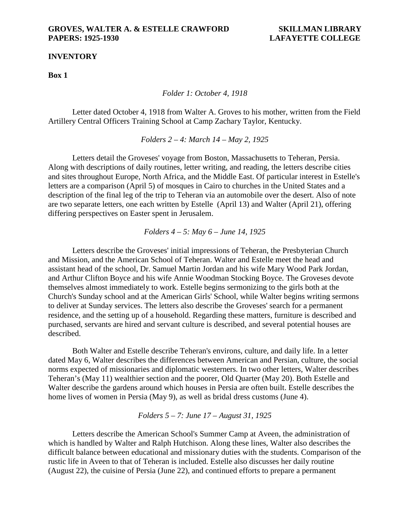### **INVENTORY**

**Box 1**

*Folder 1: October 4, 1918*

Letter dated October 4, 1918 from Walter A. Groves to his mother, written from the Field Artillery Central Officers Training School at Camp Zachary Taylor, Kentucky.

*Folders 2 – 4: March 14 – May 2, 1925*

Letters detail the Groveses' voyage from Boston, Massachusetts to Teheran, Persia. Along with descriptions of daily routines, letter writing, and reading, the letters describe cities and sites throughout Europe, North Africa, and the Middle East. Of particular interest in Estelle's letters are a comparison (April 5) of mosques in Cairo to churches in the United States and a description of the final leg of the trip to Teheran via an automobile over the desert. Also of note are two separate letters, one each written by Estelle (April 13) and Walter (April 21), offering differing perspectives on Easter spent in Jerusalem.

*Folders 4 – 5: May 6 – June 14, 1925*

Letters describe the Groveses' initial impressions of Teheran, the Presbyterian Church and Mission, and the American School of Teheran. Walter and Estelle meet the head and assistant head of the school, Dr. Samuel Martin Jordan and his wife Mary Wood Park Jordan, and Arthur Clifton Boyce and his wife Annie Woodman Stocking Boyce. The Groveses devote themselves almost immediately to work. Estelle begins sermonizing to the girls both at the Church's Sunday school and at the American Girls' School, while Walter begins writing sermons to deliver at Sunday services. The letters also describe the Groveses' search for a permanent residence, and the setting up of a household. Regarding these matters, furniture is described and purchased, servants are hired and servant culture is described, and several potential houses are described.

Both Walter and Estelle describe Teheran's environs, culture, and daily life. In a letter dated May 6, Walter describes the differences between American and Persian, culture, the social norms expected of missionaries and diplomatic westerners. In two other letters, Walter describes Teheran's (May 11) wealthier section and the poorer, Old Quarter (May 20). Both Estelle and Walter describe the gardens around which houses in Persia are often built. Estelle describes the home lives of women in Persia (May 9), as well as bridal dress customs (June 4).

### *Folders 5 – 7: June 17 – August 31, 1925*

Letters describe the American School's Summer Camp at Aveen, the administration of which is handled by Walter and Ralph Hutchison. Along these lines, Walter also describes the difficult balance between educational and missionary duties with the students. Comparison of the rustic life in Aveen to that of Teheran is included. Estelle also discusses her daily routine (August 22), the cuisine of Persia (June 22), and continued efforts to prepare a permanent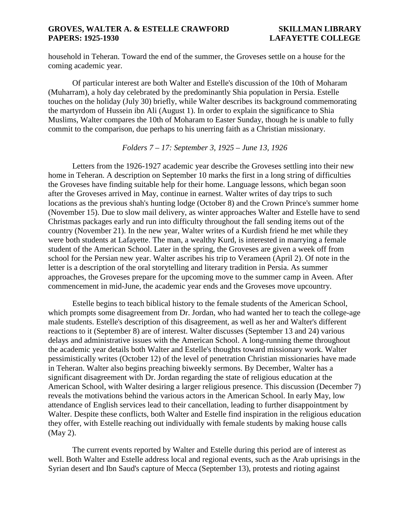household in Teheran. Toward the end of the summer, the Groveses settle on a house for the coming academic year.

Of particular interest are both Walter and Estelle's discussion of the 10th of Moharam (Muharram), a holy day celebrated by the predominantly Shia population in Persia. Estelle touches on the holiday (July 30) briefly, while Walter describes its background commemorating the martyrdom of Hussein ibn Ali (August 1). In order to explain the significance to Shia Muslims, Walter compares the 10th of Moharam to Easter Sunday, though he is unable to fully commit to the comparison, due perhaps to his unerring faith as a Christian missionary.

*Folders 7 – 17: September 3, 1925 – June 13, 1926*

Letters from the 1926-1927 academic year describe the Groveses settling into their new home in Teheran. A description on September 10 marks the first in a long string of difficulties the Groveses have finding suitable help for their home. Language lessons, which began soon after the Groveses arrived in May, continue in earnest. Walter writes of day trips to such locations as the previous shah's hunting lodge (October 8) and the Crown Prince's summer home (November 15). Due to slow mail delivery, as winter approaches Walter and Estelle have to send Christmas packages early and run into difficulty throughout the fall sending items out of the country (November 21). In the new year, Walter writes of a Kurdish friend he met while they were both students at Lafayette. The man, a wealthy Kurd, is interested in marrying a female student of the American School. Later in the spring, the Groveses are given a week off from school for the Persian new year. Walter ascribes his trip to Verameen (April 2). Of note in the letter is a description of the oral storytelling and literary tradition in Persia. As summer approaches, the Groveses prepare for the upcoming move to the summer camp in Aveen. After commencement in mid-June, the academic year ends and the Groveses move upcountry.

Estelle begins to teach biblical history to the female students of the American School, which prompts some disagreement from Dr. Jordan, who had wanted her to teach the college-age male students. Estelle's description of this disagreement, as well as her and Walter's different reactions to it (September 8) are of interest. Walter discusses (September 13 and 24) various delays and administrative issues with the American School. A long-running theme throughout the academic year details both Walter and Estelle's thoughts toward missionary work. Walter pessimistically writes (October 12) of the level of penetration Christian missionaries have made in Teheran. Walter also begins preaching biweekly sermons. By December, Walter has a significant disagreement with Dr. Jordan regarding the state of religious education at the American School, with Walter desiring a larger religious presence. This discussion (December 7) reveals the motivations behind the various actors in the American School. In early May, low attendance of English services lead to their cancellation, leading to further disappointment by Walter. Despite these conflicts, both Walter and Estelle find inspiration in the religious education they offer, with Estelle reaching out individually with female students by making house calls (May 2).

The current events reported by Walter and Estelle during this period are of interest as well. Both Walter and Estelle address local and regional events, such as the Arab uprisings in the Syrian desert and Ibn Saud's capture of Mecca (September 13), protests and rioting against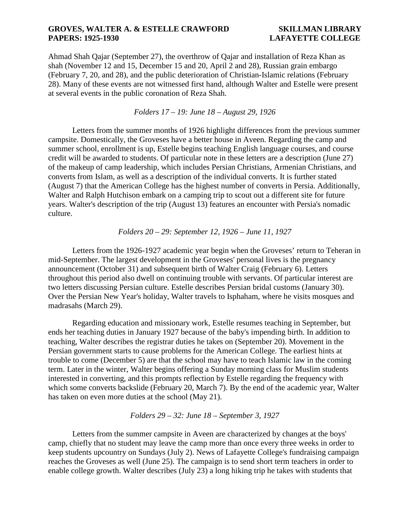Ahmad Shah Qajar (September 27), the overthrow of Qajar and installation of Reza Khan as shah (November 12 and 15, December 15 and 20, April 2 and 28), Russian grain embargo (February 7, 20, and 28), and the public deterioration of Christian-Islamic relations (February 28). Many of these events are not witnessed first hand, although Walter and Estelle were present at several events in the public coronation of Reza Shah.

# *Folders 17 – 19: June 18 – August 29, 1926*

Letters from the summer months of 1926 highlight differences from the previous summer campsite. Domestically, the Groveses have a better house in Aveen. Regarding the camp and summer school, enrollment is up, Estelle begins teaching English language courses, and course credit will be awarded to students. Of particular note in these letters are a description (June 27) of the makeup of camp leadership, which includes Persian Christians, Armenian Christians, and converts from Islam, as well as a description of the individual converts. It is further stated (August 7) that the American College has the highest number of converts in Persia. Additionally, Walter and Ralph Hutchison embark on a camping trip to scout out a different site for future years. Walter's description of the trip (August 13) features an encounter with Persia's nomadic culture.

# *Folders 20 – 29: September 12, 1926 – June 11, 1927*

Letters from the 1926-1927 academic year begin when the Groveses' return to Teheran in mid-September. The largest development in the Groveses' personal lives is the pregnancy announcement (October 31) and subsequent birth of Walter Craig (February 6). Letters throughout this period also dwell on continuing trouble with servants. Of particular interest are two letters discussing Persian culture. Estelle describes Persian bridal customs (January 30). Over the Persian New Year's holiday, Walter travels to Isphaham, where he visits mosques and madrasahs (March 29).

Regarding education and missionary work, Estelle resumes teaching in September, but ends her teaching duties in January 1927 because of the baby's impending birth. In addition to teaching, Walter describes the registrar duties he takes on (September 20). Movement in the Persian government starts to cause problems for the American College. The earliest hints at trouble to come (December 5) are that the school may have to teach Islamic law in the coming term. Later in the winter, Walter begins offering a Sunday morning class for Muslim students interested in converting, and this prompts reflection by Estelle regarding the frequency with which some converts backslide (February 20, March 7). By the end of the academic year, Walter has taken on even more duties at the school (May 21).

### *Folders 29 – 32: June 18 – September 3, 1927*

Letters from the summer campsite in Aveen are characterized by changes at the boys' camp, chiefly that no student may leave the camp more than once every three weeks in order to keep students upcountry on Sundays (July 2). News of Lafayette College's fundraising campaign reaches the Groveses as well (June 25). The campaign is to send short term teachers in order to enable college growth. Walter describes (July 23) a long hiking trip he takes with students that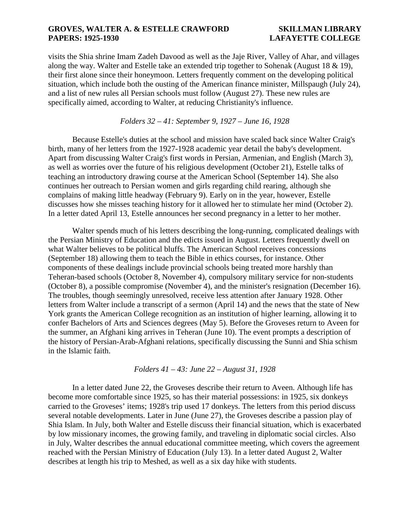visits the Shia shrine Imam Zadeh Davood as well as the Jaje River, Valley of Ahar, and villages along the way. Walter and Estelle take an extended trip together to Sohenak (August 18 & 19), their first alone since their honeymoon. Letters frequently comment on the developing political situation, which include both the ousting of the American finance minister, Millspaugh (July 24), and a list of new rules all Persian schools must follow (August 27). These new rules are specifically aimed, according to Walter, at reducing Christianity's influence.

*Folders 32 – 41: September 9, 1927 – June 16, 1928*

Because Estelle's duties at the school and mission have scaled back since Walter Craig's birth, many of her letters from the 1927-1928 academic year detail the baby's development. Apart from discussing Walter Craig's first words in Persian, Armenian, and English (March 3), as well as worries over the future of his religious development (October 21), Estelle talks of teaching an introductory drawing course at the American School (September 14). She also continues her outreach to Persian women and girls regarding child rearing, although she complains of making little headway (February 9). Early on in the year, however, Estelle discusses how she misses teaching history for it allowed her to stimulate her mind (October 2). In a letter dated April 13, Estelle announces her second pregnancy in a letter to her mother.

Walter spends much of his letters describing the long-running, complicated dealings with the Persian Ministry of Education and the edicts issued in August. Letters frequently dwell on what Walter believes to be political bluffs. The American School receives concessions (September 18) allowing them to teach the Bible in ethics courses, for instance. Other components of these dealings include provincial schools being treated more harshly than Teheran-based schools (October 8, November 4), compulsory military service for non-students (October 8), a possible compromise (November 4), and the minister's resignation (December 16). The troubles, though seemingly unresolved, receive less attention after January 1928. Other letters from Walter include a transcript of a sermon (April 14) and the news that the state of New York grants the American College recognition as an institution of higher learning, allowing it to confer Bachelors of Arts and Sciences degrees (May 5). Before the Groveses return to Aveen for the summer, an Afghani king arrives in Teheran (June 10). The event prompts a description of the history of Persian-Arab-Afghani relations, specifically discussing the Sunni and Shia schism in the Islamic faith.

*Folders 41 – 43: June 22 – August 31, 1928*

In a letter dated June 22, the Groveses describe their return to Aveen. Although life has become more comfortable since 1925, so has their material possessions: in 1925, six donkeys carried to the Groveses' items; 1928's trip used 17 donkeys. The letters from this period discuss several notable developments. Later in June (June 27), the Groveses describe a passion play of Shia Islam. In July, both Walter and Estelle discuss their financial situation, which is exacerbated by low missionary incomes, the growing family, and traveling in diplomatic social circles. Also in July, Walter describes the annual educational committee meeting, which covers the agreement reached with the Persian Ministry of Education (July 13). In a letter dated August 2, Walter describes at length his trip to Meshed, as well as a six day hike with students.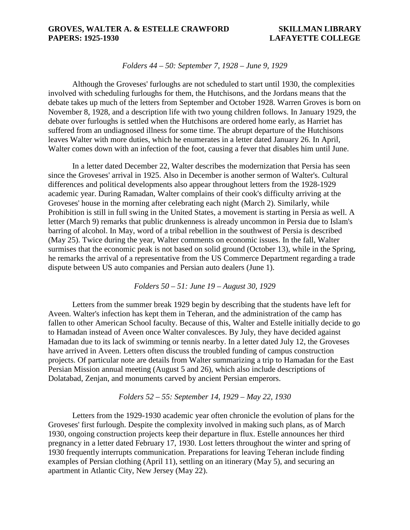### *Folders 44 – 50: September 7, 1928 – June 9, 1929*

Although the Groveses' furloughs are not scheduled to start until 1930, the complexities involved with scheduling furloughs for them, the Hutchisons, and the Jordans means that the debate takes up much of the letters from September and October 1928. Warren Groves is born on November 8, 1928, and a description life with two young children follows. In January 1929, the debate over furloughs is settled when the Hutchisons are ordered home early, as Harriet has suffered from an undiagnosed illness for some time. The abrupt departure of the Hutchisons leaves Walter with more duties, which he enumerates in a letter dated January 26. In April, Walter comes down with an infection of the foot, causing a fever that disables him until June.

In a letter dated December 22, Walter describes the modernization that Persia has seen since the Groveses' arrival in 1925. Also in December is another sermon of Walter's. Cultural differences and political developments also appear throughout letters from the 1928-1929 academic year. During Ramadan, Walter complains of their cook's difficulty arriving at the Groveses' house in the morning after celebrating each night (March 2). Similarly, while Prohibition is still in full swing in the United States, a movement is starting in Persia as well. A letter (March 9) remarks that public drunkenness is already uncommon in Persia due to Islam's barring of alcohol. In May, word of a tribal rebellion in the southwest of Persia is described (May 25). Twice during the year, Walter comments on economic issues. In the fall, Walter surmises that the economic peak is not based on solid ground (October 13), while in the Spring, he remarks the arrival of a representative from the US Commerce Department regarding a trade dispute between US auto companies and Persian auto dealers (June 1).

*Folders 50 – 51: June 19 – August 30, 1929*

Letters from the summer break 1929 begin by describing that the students have left for Aveen. Walter's infection has kept them in Teheran, and the administration of the camp has fallen to other American School faculty. Because of this, Walter and Estelle initially decide to go to Hamadan instead of Aveen once Walter convalesces. By July, they have decided against Hamadan due to its lack of swimming or tennis nearby. In a letter dated July 12, the Groveses have arrived in Aveen. Letters often discuss the troubled funding of campus construction projects. Of particular note are details from Walter summarizing a trip to Hamadan for the East Persian Mission annual meeting (August 5 and 26), which also include descriptions of Dolatabad, Zenjan, and monuments carved by ancient Persian emperors.

# *Folders 52 – 55: September 14, 1929 – May 22, 1930*

Letters from the 1929-1930 academic year often chronicle the evolution of plans for the Groveses' first furlough. Despite the complexity involved in making such plans, as of March 1930, ongoing construction projects keep their departure in flux. Estelle announces her third pregnancy in a letter dated February 17, 1930. Lost letters throughout the winter and spring of 1930 frequently interrupts communication. Preparations for leaving Teheran include finding examples of Persian clothing (April 11), settling on an itinerary (May 5), and securing an apartment in Atlantic City, New Jersey (May 22).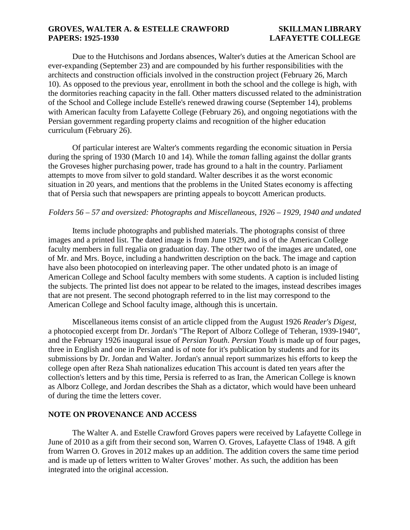Due to the Hutchisons and Jordans absences, Walter's duties at the American School are ever-expanding (September 23) and are compounded by his further responsibilities with the architects and construction officials involved in the construction project (February 26, March 10). As opposed to the previous year, enrollment in both the school and the college is high, with the dormitories reaching capacity in the fall. Other matters discussed related to the administration of the School and College include Estelle's renewed drawing course (September 14), problems with American faculty from Lafayette College (February 26), and ongoing negotiations with the Persian government regarding property claims and recognition of the higher education curriculum (February 26).

Of particular interest are Walter's comments regarding the economic situation in Persia during the spring of 1930 (March 10 and 14). While the *toman* falling against the dollar grants the Groveses higher purchasing power, trade has ground to a halt in the country. Parliament attempts to move from silver to gold standard. Walter describes it as the worst economic situation in 20 years, and mentions that the problems in the United States economy is affecting that of Persia such that newspapers are printing appeals to boycott American products.

# *Folders 56 – 57 and oversized: Photographs and Miscellaneous, 1926 – 1929, 1940 and undated*

Items include photographs and published materials. The photographs consist of three images and a printed list. The dated image is from June 1929, and is of the American College faculty members in full regalia on graduation day. The other two of the images are undated, one of Mr. and Mrs. Boyce, including a handwritten description on the back. The image and caption have also been photocopied on interleaving paper. The other undated photo is an image of American College and School faculty members with some students. A caption is included listing the subjects. The printed list does not appear to be related to the images, instead describes images that are not present. The second photograph referred to in the list may correspond to the American College and School faculty image, although this is uncertain.

Miscellaneous items consist of an article clipped from the August 1926 *Reader's Digest*, a photocopied excerpt from Dr. Jordan's "The Report of Alborz College of Teheran, 1939-1940", and the February 1926 inaugural issue of *Persian Youth*. *Persian Youth* is made up of four pages, three in English and one in Persian and is of note for it's publication by students and for its submissions by Dr. Jordan and Walter. Jordan's annual report summarizes his efforts to keep the college open after Reza Shah nationalizes education This account is dated ten years after the collection's letters and by this time, Persia is referred to as Iran, the American College is known as Alborz College, and Jordan describes the Shah as a dictator, which would have been unheard of during the time the letters cover.

### **NOTE ON PROVENANCE AND ACCESS**

The Walter A. and Estelle Crawford Groves papers were received by Lafayette College in June of 2010 as a gift from their second son, Warren O. Groves, Lafayette Class of 1948. A gift from Warren O. Groves in 2012 makes up an addition. The addition covers the same time period and is made up of letters written to Walter Groves' mother. As such, the addition has been integrated into the original accession.